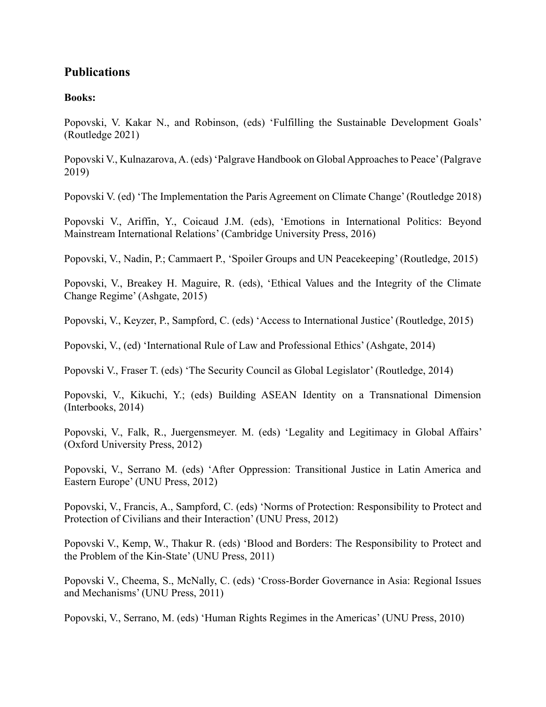# **Publications**

### **Books:**

Popovski, V. Kakar N., and Robinson, (eds) 'Fulfilling the Sustainable Development Goals' (Routledge 2021)

Popovski V., Kulnazarova, A. (eds) 'Palgrave Handbook on Global Approaches to Peace' (Palgrave 2019)

Popovski V. (ed) 'The Implementation the Paris Agreement on Climate Change' (Routledge 2018)

Popovski V., Ariffin, Y., Coicaud J.M. (eds), 'Emotions in International Politics: Beyond Mainstream International Relations' (Cambridge University Press, 2016)

Popovski, V., Nadin, P.; Cammaert P., 'Spoiler Groups and UN Peacekeeping' (Routledge, 2015)

Popovski, V., Breakey H. Maguire, R. (eds), 'Ethical Values and the Integrity of the Climate Change Regime' (Ashgate, 2015)

Popovski, V., Keyzer, P., Sampford, C. (eds) 'Access to International Justice' (Routledge, 2015)

Popovski, V., (ed) 'International Rule of Law and Professional Ethics' (Ashgate, 2014)

Popovski V., Fraser T. (eds) 'The Security Council as Global Legislator' (Routledge, 2014)

Popovski, V., Kikuchi, Y.; (eds) Building ASEAN Identity on a Transnational Dimension (Interbooks, 2014)

Popovski, V., Falk, R., Juergensmeyer. M. (eds) 'Legality and Legitimacy in Global Affairs' (Oxford University Press, 2012)

Popovski, V., Serrano M. (eds) 'After Oppression: Transitional Justice in Latin America and Eastern Europe' (UNU Press, 2012)

Popovski, V., Francis, A., Sampford, C. (eds) 'Norms of Protection: Responsibility to Protect and Protection of Civilians and their Interaction' (UNU Press, 2012)

Popovski V., Kemp, W., Thakur R. (eds) 'Blood and Borders: The Responsibility to Protect and the Problem of the Kin-State' (UNU Press, 2011)

Popovski V., Cheema, S., McNally, C. (eds) 'Cross-Border Governance in Asia: Regional Issues and Mechanisms' (UNU Press, 2011)

Popovski, V., Serrano, M. (eds) 'Human Rights Regimes in the Americas' (UNU Press, 2010)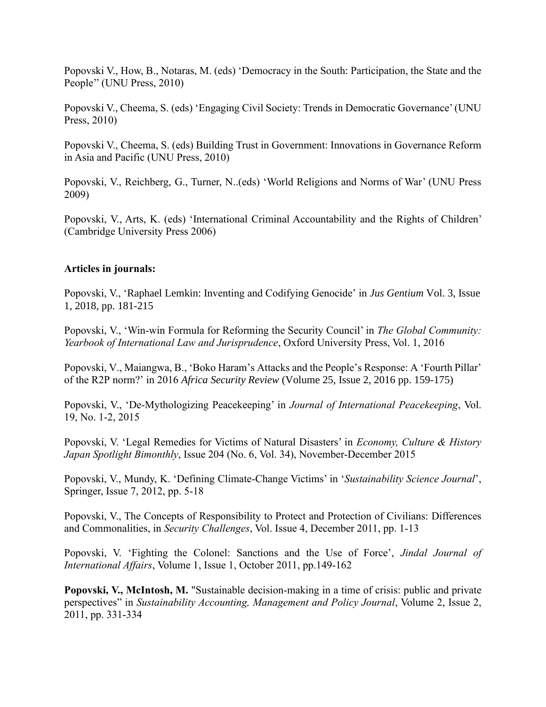Popovski V., How, B., Notaras, M. (eds) 'Democracy in the South: Participation, the State and the People'' (UNU Press, 2010)

Popovski V., Cheema, S. (eds) 'Engaging Civil Society: Trends in Democratic Governance' (UNU Press, 2010)

Popovski V., Cheema, S. (eds) Building Trust in Government: Innovations in Governance Reform in Asia and Pacific (UNU Press, 2010)

Popovski, V., Reichberg, G., Turner, N..(eds) 'World Religions and Norms of War' (UNU Press 2009)

Popovski, V., Arts, K. (eds) 'International Criminal Accountability and the Rights of Children' (Cambridge University Press 2006)

#### **Articles in journals:**

Popovski, V., 'Raphael Lemkin: Inventing and Codifying Genocide' in *Jus Gentium* Vol. 3, Issue 1, 2018, pp. 181-215

Popovski, V., 'Win-win Formula for Reforming the Security Council' in *The Global Community: Yearbook of International Law and Jurisprudence*, Oxford University Press, Vol. 1, 2016

Popovski, V., Maiangwa, B., 'Boko Haram's Attacks and the People's Response: A 'Fourth Pillar' of the R2P norm?' in 2016 *Africa Security Review* (Volume 25, Issue 2, 2016 pp. 159-175)

Popovski, V., 'De-Mythologizing Peacekeeping' in *Journal of International Peacekeeping*, Vol. 19, No. 1-2, 2015

Popovski, V. 'Legal Remedies for Victims of Natural Disasters' in *Economy, Culture & History Japan Spotlight Bimonthly*, Issue 204 (No. 6, Vol. 34), November-December 2015

Popovski, V., Mundy, K. 'Defining Climate-Change Victims' in '*Sustainability Science Journal*', Springer, Issue 7, 2012, pp. 5-18

Popovski, V., The Concepts of Responsibility to Protect and Protection of Civilians: Differences and Commonalities, in *Security Challenges*, Vol. Issue 4, December 2011, pp. 1-13

Popovski, V. 'Fighting the Colonel: Sanctions and the Use of Force', *Jindal Journal of International Affairs*, Volume 1, Issue 1, October 2011, pp.149-162

**Popovski, V., McIntosh, M.** "Sustainable decision-making in a time of crisis: public and private perspectives" in *Sustainability Accounting, Management and Policy Journal*, Volume 2, Issue 2, 2011, pp. 331-334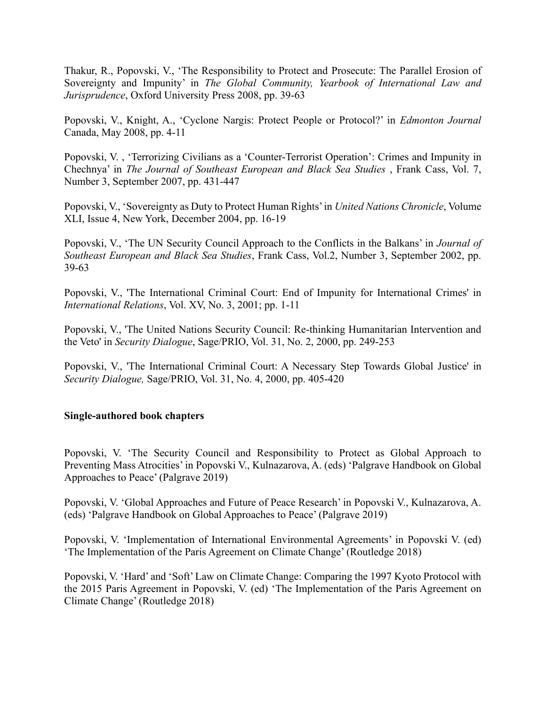Thakur, R., Popovski, V., 'The Responsibility to Protect and Prosecute: The Parallel Erosion of Sovereignty and Impunity' in *The Global Community, Yearbook of International Law and Jurisprudence*, Oxford University Press 2008, pp. 39-63

Popovski, V., Knight, A., 'Cyclone Nargis: Protect People or Protocol?' in *Edmonton Journal* Canada, May 2008, pp. 4-11

Popovski, V. , 'Terrorizing Civilians as a 'Counter-Terrorist Operation': Crimes and Impunity in Chechnya' in *The Journal of Southeast European and Black Sea Studies* , Frank Cass, Vol. 7, Number 3, September 2007, pp. 431-447

Popovski, V., 'Sovereignty as Duty to Protect Human Rights' in *United Nations Chronicle*, Volume XLI, Issue 4, New York, December 2004, pp. 16-19

Popovski, V., 'The UN Security Council Approach to the Conflicts in the Balkans' in *Journal of Southeast European and Black Sea Studies*, Frank Cass, Vol.2, Number 3, September 2002, pp. 39-63

Popovski, V., 'The International Criminal Court: End of Impunity for International Crimes' in *International Relations*, Vol. XV, No. 3, 2001; pp. 1-11

Popovski, V., 'The United Nations Security Council: Re-thinking Humanitarian Intervention and the Veto' in *Security Dialogue*, Sage/PRIO, Vol. 31, No. 2, 2000, pp. 249-253

Popovski, V., 'The International Criminal Court: A Necessary Step Towards Global Justice' in *Security Dialogue,* Sage/PRIO, Vol. 31, No. 4, 2000, pp. 405-420

## **Single-authored book chapters**

Popovski, V. 'The Security Council and Responsibility to Protect as Global Approach to Preventing Mass Atrocities' in Popovski V., Kulnazarova, A. (eds) 'Palgrave Handbook on Global Approaches to Peace' (Palgrave 2019)

Popovski, V. 'Global Approaches and Future of Peace Research' in Popovski V., Kulnazarova, A. (eds) 'Palgrave Handbook on Global Approaches to Peace' (Palgrave 2019)

Popovski, V. 'Implementation of International Environmental Agreements' in Popovski V. (ed) 'The Implementation of the Paris Agreement on Climate Change' (Routledge 2018)

Popovski, V. 'Hard' and 'Soft' Law on Climate Change: Comparing the 1997 Kyoto Protocol with the 2015 Paris Agreement in Popovski, V. (ed) 'The Implementation of the Paris Agreement on Climate Change' (Routledge 2018)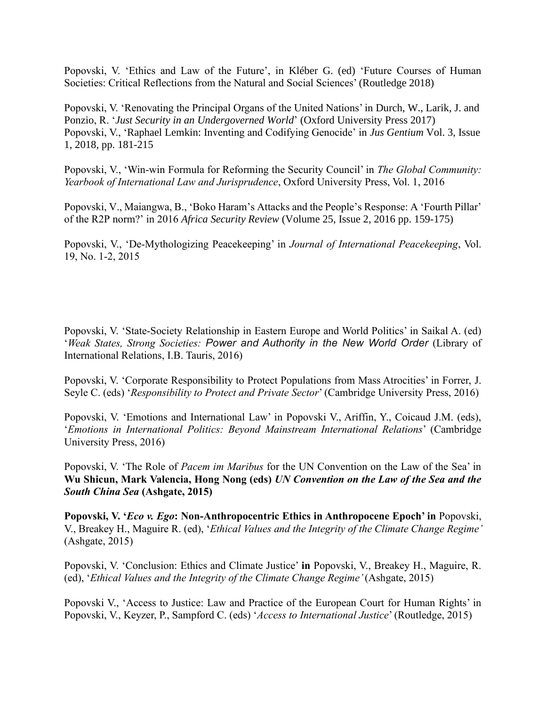Popovski, V. 'Ethics and Law of the Future', in Kléber G. (ed) 'Future Courses of Human Societies: Critical Reflections from the Natural and Social Sciences' (Routledge 2018)

Popovski, V. 'Renovating the Principal Organs of the United Nations' in Durch, W., Larik, J. and Ponzio, R. '*Just Security in an Undergoverned World*' (Oxford University Press 2017) Popovski, V., 'Raphael Lemkin: Inventing and Codifying Genocide' in *Jus Gentium* Vol. 3, Issue 1, 2018, pp. 181-215

Popovski, V., 'Win-win Formula for Reforming the Security Council' in *The Global Community: Yearbook of International Law and Jurisprudence*, Oxford University Press, Vol. 1, 2016

Popovski, V., Maiangwa, B., 'Boko Haram's Attacks and the People's Response: A 'Fourth Pillar' of the R2P norm?' in 2016 *Africa Security Review* (Volume 25, Issue 2, 2016 pp. 159-175)

Popovski, V., 'De-Mythologizing Peacekeeping' in *Journal of International Peacekeeping*, Vol. 19, No. 1-2, 2015

Popovski, V. 'State-Society Relationship in Eastern Europe and World Politics' in Saikal A. (ed) '*Weak States, Strong Societies: Power and Authority in the New World Order* (Library of International Relations, I.B. Tauris, 2016)

Popovski, V. 'Corporate Responsibility to Protect Populations from Mass Atrocities' in Forrer, J. Seyle C. (eds) '*Responsibility to Protect and Private Sector*' (Cambridge University Press, 2016)

Popovski, V. 'Emotions and International Law' in Popovski V., Ariffin, Y., Coicaud J.M. (eds), '*Emotions in International Politics: Beyond Mainstream International Relations*' (Cambridge University Press, 2016)

Popovski, V. 'The Role of *Pacem im Maribus* for the UN Convention on the Law of the Sea' in **Wu Shicun, Mark Valencia, Hong Nong (eds)** *UN Convention on the Law of the Sea and the South China Sea* **(Ashgate, 2015)**

**Popovski, V. '***Eco v. Ego***: Non-Anthropocentric Ethics in Anthropocene Epoch' in** Popovski, V., Breakey H., Maguire R. (ed), '*Ethical Values and the Integrity of the Climate Change Regime'*  (Ashgate, 2015)

Popovski, V. 'Conclusion: Ethics and Climate Justice' **in** Popovski, V., Breakey H., Maguire, R. (ed), '*Ethical Values and the Integrity of the Climate Change Regime'* (Ashgate, 2015)

Popovski V., 'Access to Justice: Law and Practice of the European Court for Human Rights' in Popovski, V., Keyzer, P., Sampford C. (eds) '*Access to International Justice*' (Routledge, 2015)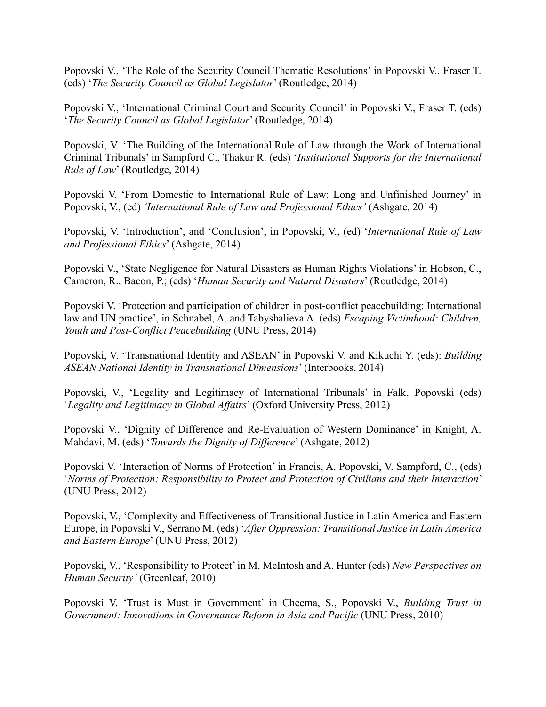Popovski V., 'The Role of the Security Council Thematic Resolutions' in Popovski V., Fraser T. (eds) '*The Security Council as Global Legislator*' (Routledge, 2014)

Popovski V., 'International Criminal Court and Security Council' in Popovski V., Fraser T. (eds) '*The Security Council as Global Legislator*' (Routledge, 2014)

Popovski, V. 'The Building of the International Rule of Law through the Work of International Criminal Tribunals' in Sampford C., Thakur R. (eds) '*Institutional Supports for the International Rule of Law*' (Routledge, 2014)

Popovski V. 'From Domestic to International Rule of Law: Long and Unfinished Journey' in Popovski, V., (ed) *'International Rule of Law and Professional Ethics'* (Ashgate, 2014)

Popovski, V. 'Introduction', and 'Conclusion', in Popovski, V., (ed) '*International Rule of Law and Professional Ethics*' (Ashgate, 2014)

Popovski V., 'State Negligence for Natural Disasters as Human Rights Violations' in Hobson, C., Cameron, R., Bacon, P.; (eds) '*Human Security and Natural Disasters*' (Routledge, 2014)

Popovski V. 'Protection and participation of children in post-conflict peacebuilding: International law and UN practice', in Schnabel, A. and Tabyshalieva A. (eds) *Escaping Victimhood: Children, Youth and Post-Conflict Peacebuilding* (UNU Press, 2014)

Popovski, V. 'Transnational Identity and ASEAN' in Popovski V. and Kikuchi Y. (eds): *Building ASEAN National Identity in Transnational Dimensions*' (Interbooks, 2014)

Popovski, V., 'Legality and Legitimacy of International Tribunals' in Falk, Popovski (eds) '*Legality and Legitimacy in Global Affairs*' (Oxford University Press, 2012)

Popovski V., 'Dignity of Difference and Re-Evaluation of Western Dominance' in Knight, A. Mahdavi, M. (eds) '*Towards the Dignity of Difference*' (Ashgate, 2012)

Popovski V. 'Interaction of Norms of Protection' in Francis, A. Popovski, V. Sampford, C., (eds) '*Norms of Protection: Responsibility to Protect and Protection of Civilians and their Interaction*' (UNU Press, 2012)

Popovski, V., 'Complexity and Effectiveness of Transitional Justice in Latin America and Eastern Europe, in Popovski V., Serrano M. (eds) '*After Oppression: Transitional Justice in Latin America and Eastern Europe*' (UNU Press, 2012)

Popovski, V., 'Responsibility to Protect' in M. McIntosh and A. Hunter (eds) *New Perspectives on Human Security'* (Greenleaf, 2010)

Popovski V. 'Trust is Must in Government' in Cheema, S., Popovski V., *Building Trust in Government: Innovations in Governance Reform in Asia and Pacific* (UNU Press, 2010)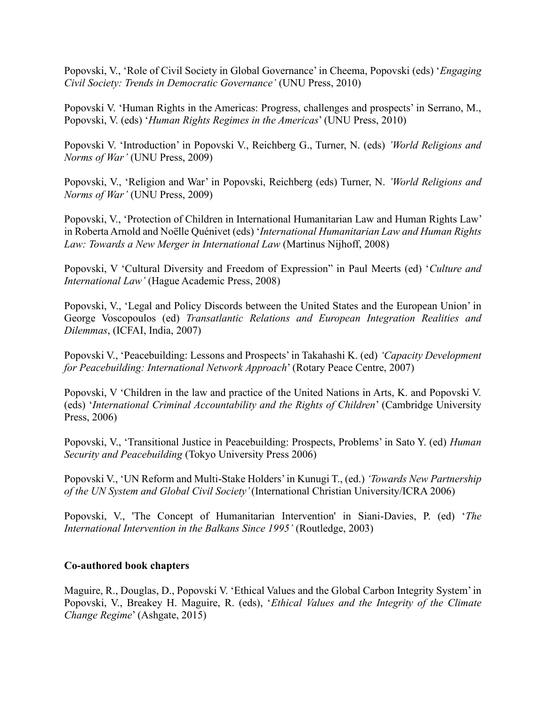Popovski, V., 'Role of Civil Society in Global Governance' in Cheema, Popovski (eds) '*Engaging Civil Society: Trends in Democratic Governance'* (UNU Press, 2010)

Popovski V. 'Human Rights in the Americas: Progress, challenges and prospects' in Serrano, M., Popovski, V. (eds) '*Human Rights Regimes in the Americas*' (UNU Press, 2010)

Popovski V. 'Introduction' in Popovski V., Reichberg G., Turner, N. (eds) *'World Religions and Norms of War'* (UNU Press, 2009)

Popovski, V., 'Religion and War' in Popovski, Reichberg (eds) Turner, N. *'World Religions and Norms of War'* (UNU Press, 2009)

Popovski, V., 'Protection of Children in International Humanitarian Law and Human Rights Law' in Roberta Arnold and Noëlle Quénivet (eds) '*International Humanitarian Law and Human Rights Law: Towards a New Merger in International Law* (Martinus Nijhoff, 2008)

Popovski, V 'Cultural Diversity and Freedom of Expression" in Paul Meerts (ed) '*Culture and International Law'* (Hague Academic Press, 2008)

Popovski, V., 'Legal and Policy Discords between the United States and the European Union' in George Voscopoulos (ed) *Transatlantic Relations and European Integration Realities and Dilemmas*, (ICFAI, India, 2007)

Popovski V., 'Peacebuilding: Lessons and Prospects' in Takahashi K. (ed) *'Capacity Development for Peacebuilding: International Network Approach*' (Rotary Peace Centre, 2007)

Popovski, V 'Children in the law and practice of the United Nations in Arts, K. and Popovski V. (eds) '*International Criminal Accountability and the Rights of Children*' (Cambridge University Press, 2006)

Popovski, V., 'Transitional Justice in Peacebuilding: Prospects, Problems' in Sato Y. (ed) *Human Security and Peacebuilding* (Tokyo University Press 2006)

Popovski V., 'UN Reform and Multi-Stake Holders' in Kunugi T., (ed.) *'Towards New Partnership of the UN System and Global Civil Society'* (International Christian University/ICRA 2006)

Popovski, V., 'The Concept of Humanitarian Intervention' in Siani-Davies, P. (ed) '*The International Intervention in the Balkans Since 1995'* (Routledge, 2003)

#### **Co-authored book chapters**

Maguire, R., Douglas, D., Popovski V. 'Ethical Values and the Global Carbon Integrity System' in Popovski, V., Breakey H. Maguire, R. (eds), '*Ethical Values and the Integrity of the Climate Change Regime*' (Ashgate, 2015)